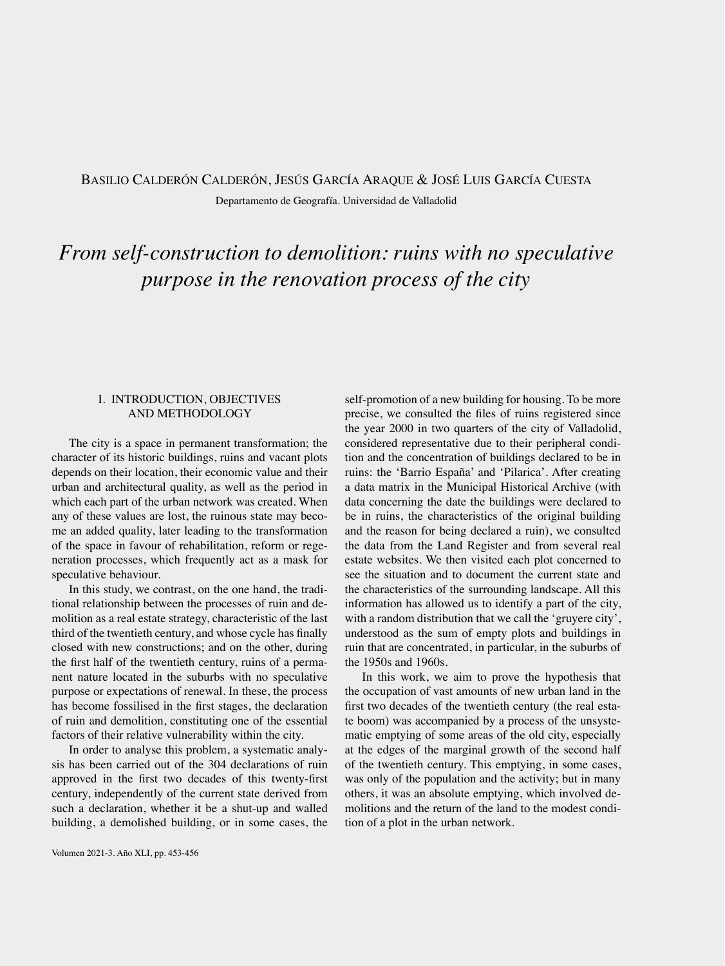## Basilio Calderón Calderón, Jesús García Araque & José Luis García Cuesta Departamento de Geografía. Universidad de Valladolid

# *From self-construction to demolition: ruins with no speculative purpose in the renovation process of the city*

### I. INTRODUCTION, OBJECTIVES AND METHODOLOGY

The city is a space in permanent transformation; the character of its historic buildings, ruins and vacant plots depends on their location, their economic value and their urban and architectural quality, as well as the period in which each part of the urban network was created. When any of these values are lost, the ruinous state may become an added quality, later leading to the transformation of the space in favour of rehabilitation, reform or regeneration processes, which frequently act as a mask for speculative behaviour.

In this study, we contrast, on the one hand, the traditional relationship between the processes of ruin and demolition as a real estate strategy, characteristic of the last third of the twentieth century, and whose cycle has finally closed with new constructions; and on the other, during the first half of the twentieth century, ruins of a permanent nature located in the suburbs with no speculative purpose or expectations of renewal. In these, the process has become fossilised in the first stages, the declaration of ruin and demolition, constituting one of the essential factors of their relative vulnerability within the city.

In order to analyse this problem, a systematic analysis has been carried out of the 304 declarations of ruin approved in the first two decades of this twenty-first century, independently of the current state derived from such a declaration, whether it be a shut-up and walled building, a demolished building, or in some cases, the self-promotion of a new building for housing. To be more precise, we consulted the files of ruins registered since the year 2000 in two quarters of the city of Valladolid, considered representative due to their peripheral condition and the concentration of buildings declared to be in ruins: the 'Barrio España' and 'Pilarica'. After creating a data matrix in the Municipal Historical Archive (with data concerning the date the buildings were declared to be in ruins, the characteristics of the original building and the reason for being declared a ruin), we consulted the data from the Land Register and from several real estate websites. We then visited each plot concerned to see the situation and to document the current state and the characteristics of the surrounding landscape. All this information has allowed us to identify a part of the city, with a random distribution that we call the 'gruyere city', understood as the sum of empty plots and buildings in ruin that are concentrated, in particular, in the suburbs of the 1950s and 1960s.

In this work, we aim to prove the hypothesis that the occupation of vast amounts of new urban land in the first two decades of the twentieth century (the real estate boom) was accompanied by a process of the unsystematic emptying of some areas of the old city, especially at the edges of the marginal growth of the second half of the twentieth century. This emptying, in some cases, was only of the population and the activity; but in many others, it was an absolute emptying, which involved demolitions and the return of the land to the modest condition of a plot in the urban network.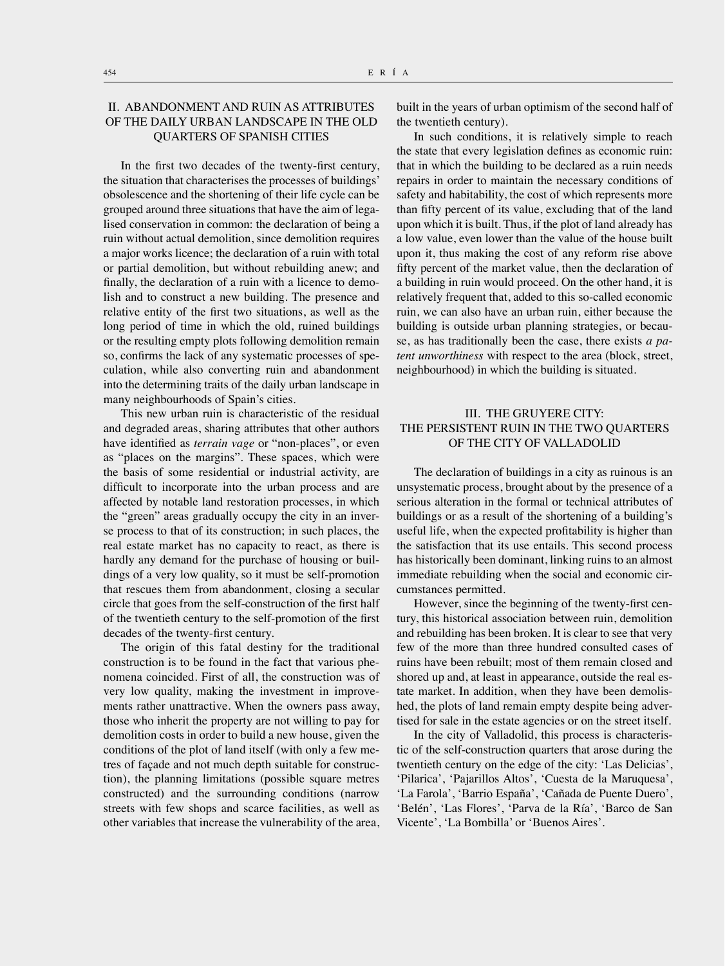### II. ABANDONMENT AND RUIN AS ATTRIBUTES OF THE DAILY URBAN LANDSCAPE IN THE OLD QUARTERS OF SPANISH CITIES

In the first two decades of the twenty-first century, the situation that characterises the processes of buildings' obsolescence and the shortening of their life cycle can be grouped around three situations that have the aim of legalised conservation in common: the declaration of being a ruin without actual demolition, since demolition requires a major works licence; the declaration of a ruin with total or partial demolition, but without rebuilding anew; and finally, the declaration of a ruin with a licence to demolish and to construct a new building. The presence and relative entity of the first two situations, as well as the long period of time in which the old, ruined buildings or the resulting empty plots following demolition remain so, confirms the lack of any systematic processes of speculation, while also converting ruin and abandonment into the determining traits of the daily urban landscape in many neighbourhoods of Spain's cities.

This new urban ruin is characteristic of the residual and degraded areas, sharing attributes that other authors have identified as *terrain vage* or "non-places", or even as "places on the margins". These spaces, which were the basis of some residential or industrial activity, are difficult to incorporate into the urban process and are affected by notable land restoration processes, in which the "green" areas gradually occupy the city in an inverse process to that of its construction; in such places, the real estate market has no capacity to react, as there is hardly any demand for the purchase of housing or buildings of a very low quality, so it must be self-promotion that rescues them from abandonment, closing a secular circle that goes from the self-construction of the first half of the twentieth century to the self-promotion of the first decades of the twenty-first century.

The origin of this fatal destiny for the traditional construction is to be found in the fact that various phenomena coincided. First of all, the construction was of very low quality, making the investment in improvements rather unattractive. When the owners pass away, those who inherit the property are not willing to pay for demolition costs in order to build a new house, given the conditions of the plot of land itself (with only a few metres of façade and not much depth suitable for construction), the planning limitations (possible square metres constructed) and the surrounding conditions (narrow streets with few shops and scarce facilities, as well as other variables that increase the vulnerability of the area, built in the years of urban optimism of the second half of the twentieth century).

In such conditions, it is relatively simple to reach the state that every legislation defines as economic ruin: that in which the building to be declared as a ruin needs repairs in order to maintain the necessary conditions of safety and habitability, the cost of which represents more than fifty percent of its value, excluding that of the land upon which it is built. Thus, if the plot of land already has a low value, even lower than the value of the house built upon it, thus making the cost of any reform rise above fifty percent of the market value, then the declaration of a building in ruin would proceed. On the other hand, it is relatively frequent that, added to this so-called economic ruin, we can also have an urban ruin, either because the building is outside urban planning strategies, or because, as has traditionally been the case, there exists *a patent unworthiness* with respect to the area (block, street, neighbourhood) in which the building is situated.

#### III. THE GRUYERE CITY: THE PERSISTENT RUIN IN THE TWO QUARTERS OF THE CITY OF VALLADOLID

The declaration of buildings in a city as ruinous is an unsystematic process, brought about by the presence of a serious alteration in the formal or technical attributes of buildings or as a result of the shortening of a building's useful life, when the expected profitability is higher than the satisfaction that its use entails. This second process has historically been dominant, linking ruins to an almost immediate rebuilding when the social and economic circumstances permitted.

However, since the beginning of the twenty-first century, this historical association between ruin, demolition and rebuilding has been broken. It is clear to see that very few of the more than three hundred consulted cases of ruins have been rebuilt; most of them remain closed and shored up and, at least in appearance, outside the real estate market. In addition, when they have been demolished, the plots of land remain empty despite being advertised for sale in the estate agencies or on the street itself.

In the city of Valladolid, this process is characteristic of the self-construction quarters that arose during the twentieth century on the edge of the city: 'Las Delicias', 'Pilarica', 'Pajarillos Altos', 'Cuesta de la Maruquesa', 'La Farola', 'Barrio España', 'Cañada de Puente Duero', 'Belén', 'Las Flores', 'Parva de la Ría', 'Barco de San Vicente', 'La Bombilla' or 'Buenos Aires'.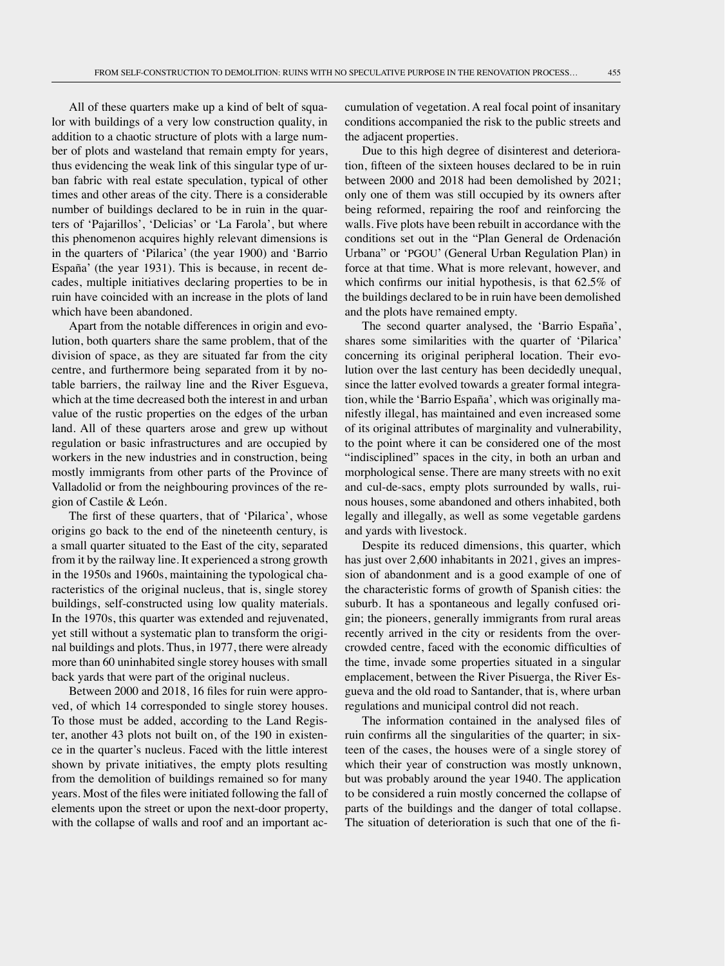All of these quarters make up a kind of belt of squalor with buildings of a very low construction quality, in addition to a chaotic structure of plots with a large number of plots and wasteland that remain empty for years, thus evidencing the weak link of this singular type of urban fabric with real estate speculation, typical of other times and other areas of the city. There is a considerable number of buildings declared to be in ruin in the quarters of 'Pajarillos', 'Delicias' or 'La Farola', but where this phenomenon acquires highly relevant dimensions is in the quarters of 'Pilarica' (the year 1900) and 'Barrio España' (the year 1931). This is because, in recent decades, multiple initiatives declaring properties to be in ruin have coincided with an increase in the plots of land which have been abandoned.

Apart from the notable differences in origin and evolution, both quarters share the same problem, that of the division of space, as they are situated far from the city centre, and furthermore being separated from it by notable barriers, the railway line and the River Esgueva, which at the time decreased both the interest in and urban value of the rustic properties on the edges of the urban land. All of these quarters arose and grew up without regulation or basic infrastructures and are occupied by workers in the new industries and in construction, being mostly immigrants from other parts of the Province of Valladolid or from the neighbouring provinces of the region of Castile & León.

The first of these quarters, that of 'Pilarica', whose origins go back to the end of the nineteenth century, is a small quarter situated to the East of the city, separated from it by the railway line. It experienced a strong growth in the 1950s and 1960s, maintaining the typological characteristics of the original nucleus, that is, single storey buildings, self-constructed using low quality materials. In the 1970s, this quarter was extended and rejuvenated, yet still without a systematic plan to transform the original buildings and plots. Thus, in 1977, there were already more than 60 uninhabited single storey houses with small back yards that were part of the original nucleus.

Between 2000 and 2018, 16 files for ruin were approved, of which 14 corresponded to single storey houses. To those must be added, according to the Land Register, another 43 plots not built on, of the 190 in existence in the quarter's nucleus. Faced with the little interest shown by private initiatives, the empty plots resulting from the demolition of buildings remained so for many years. Most of the files were initiated following the fall of elements upon the street or upon the next-door property, with the collapse of walls and roof and an important accumulation of vegetation. A real focal point of insanitary conditions accompanied the risk to the public streets and the adjacent properties.

Due to this high degree of disinterest and deterioration, fifteen of the sixteen houses declared to be in ruin between 2000 and 2018 had been demolished by 2021; only one of them was still occupied by its owners after being reformed, repairing the roof and reinforcing the walls. Five plots have been rebuilt in accordance with the conditions set out in the "Plan General de Ordenación Urbana" or 'PGOU' (General Urban Regulation Plan) in force at that time. What is more relevant, however, and which confirms our initial hypothesis, is that 62.5% of the buildings declared to be in ruin have been demolished and the plots have remained empty.

The second quarter analysed, the 'Barrio España', shares some similarities with the quarter of 'Pilarica' concerning its original peripheral location. Their evolution over the last century has been decidedly unequal, since the latter evolved towards a greater formal integration, while the 'Barrio España', which was originally manifestly illegal, has maintained and even increased some of its original attributes of marginality and vulnerability, to the point where it can be considered one of the most "indisciplined" spaces in the city, in both an urban and morphological sense. There are many streets with no exit and cul-de-sacs, empty plots surrounded by walls, ruinous houses, some abandoned and others inhabited, both legally and illegally, as well as some vegetable gardens and yards with livestock.

Despite its reduced dimensions, this quarter, which has just over 2,600 inhabitants in 2021, gives an impression of abandonment and is a good example of one of the characteristic forms of growth of Spanish cities: the suburb. It has a spontaneous and legally confused origin; the pioneers, generally immigrants from rural areas recently arrived in the city or residents from the overcrowded centre, faced with the economic difficulties of the time, invade some properties situated in a singular emplacement, between the River Pisuerga, the River Esgueva and the old road to Santander, that is, where urban regulations and municipal control did not reach.

The information contained in the analysed files of ruin confirms all the singularities of the quarter; in sixteen of the cases, the houses were of a single storey of which their year of construction was mostly unknown, but was probably around the year 1940. The application to be considered a ruin mostly concerned the collapse of parts of the buildings and the danger of total collapse. The situation of deterioration is such that one of the fi